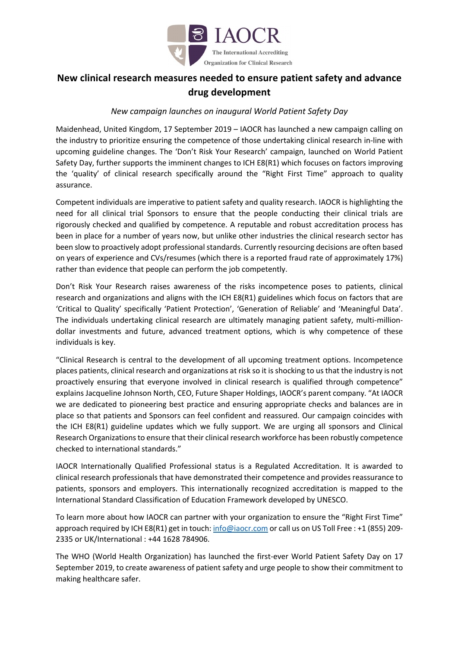

## **New clinical research measures needed to ensure patient safety and advance drug development**

## *New campaign launches on inaugural World Patient Safety Day*

Maidenhead, United Kingdom, 17 September 2019 – IAOCR has launched a new campaign calling on the industry to prioritize ensuring the competence of those undertaking clinical research in-line with upcoming guideline changes. The 'Don't Risk Your Research' campaign, launched on World Patient Safety Day, further supports the imminent changes to ICH E8(R1) which focuses on factors improving the 'quality' of clinical research specifically around the "Right First Time" approach to quality assurance.

Competent individuals are imperative to patient safety and quality research. IAOCR is highlighting the need for all clinical trial Sponsors to ensure that the people conducting their clinical trials are rigorously checked and qualified by competence. A reputable and robust accreditation process has been in place for a number of years now, but unlike other industries the clinical research sector has been slow to proactively adopt professional standards. Currently resourcing decisions are often based on years of experience and CVs/resumes (which there is a reported fraud rate of approximately 17%) rather than evidence that people can perform the job competently.

Don't Risk Your Research raises awareness of the risks incompetence poses to patients, clinical research and organizations and aligns with the ICH E8(R1) guidelines which focus on factors that are 'Critical to Quality' specifically 'Patient Protection', 'Generation of Reliable' and 'Meaningful Data'. The individuals undertaking clinical research are ultimately managing patient safety, multi-milliondollar investments and future, advanced treatment options, which is why competence of these individuals is key.

"Clinical Research is central to the development of all upcoming treatment options. Incompetence places patients, clinical research and organizations at risk so it is shocking to us that the industry is not proactively ensuring that everyone involved in clinical research is qualified through competence" explains Jacqueline Johnson North, CEO, Future Shaper Holdings, IAOCR's parent company. "At IAOCR we are dedicated to pioneering best practice and ensuring appropriate checks and balances are in place so that patients and Sponsors can feel confident and reassured. Our campaign coincides with the ICH E8(R1) guideline updates which we fully support. We are urging all sponsors and Clinical Research Organizations to ensure that their clinical research workforce has been robustly competence checked to international standards."

IAOCR Internationally Qualified Professional status is a Regulated Accreditation. It is awarded to clinical research professionals that have demonstrated their competence and provides reassurance to patients, sponsors and employers. This internationally recognized accreditation is mapped to the International Standard Classification of Education Framework developed by UNESCO.

To learn more about how IAOCR can partner with your organization to ensure the "Right First Time" approach required by ICH E8(R1) get in touch: info@iaocr.com or call us on US Toll Free : +1 (855) 209-2335 or UK/International : +44 1628 784906.

The WHO (World Health Organization) has launched the first-ever World Patient Safety Day on 17 September 2019, to create awareness of patient safety and urge people to show their commitment to making healthcare safer.